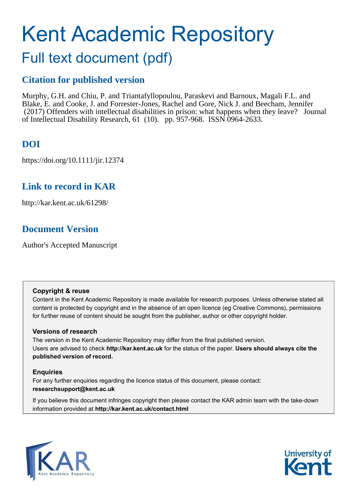# Kent Academic Repository

# Full text document (pdf)

# **Citation for published version**

Murphy, G.H. and Chiu, P. and Triantafyllopoulou, Paraskevi and Barnoux, Magali F.L. and Blake, E. and Cooke, J. and Forrester-Jones, Rachel and Gore, Nick J. and Beecham, Jennifer (2017) Offenders with intellectual disabilities in prison: what happens when they leave? Journal of Intellectual Disability Research, 61 (10). pp. 957-968. ISSN 0964-2633.

# **DOI**

https://doi.org/10.1111/jir.12374

# **Link to record in KAR**

http://kar.kent.ac.uk/61298/

# **Document Version**

Author's Accepted Manuscript

## **Copyright & reuse**

Content in the Kent Academic Repository is made available for research purposes. Unless otherwise stated all content is protected by copyright and in the absence of an open licence (eg Creative Commons), permissions for further reuse of content should be sought from the publisher, author or other copyright holder.

## **Versions of research**

The version in the Kent Academic Repository may differ from the final published version. Users are advised to check **http://kar.kent.ac.uk** for the status of the paper. **Users should always cite the published version of record.**

## **Enquiries**

For any further enquiries regarding the licence status of this document, please contact: **researchsupport@kent.ac.uk**

If you believe this document infringes copyright then please contact the KAR admin team with the take-down information provided at **http://kar.kent.ac.uk/contact.html**



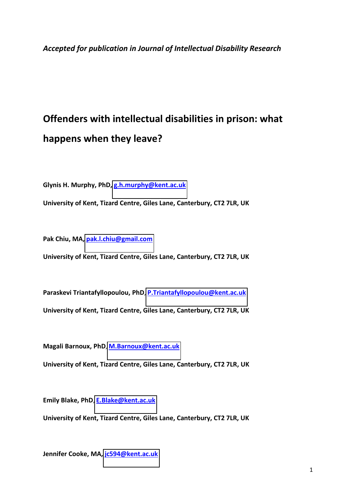# **Offenders with intellectual disabilities in prison: what happens when they leave?**

**Glynis H. Murphy, PhD, [g.h.murphy@kent.ac.uk](mailto:g.h.murphy@kent.ac.uk)**

**University of Kent, Tizard Centre, Giles Lane, Canterbury, CT2 7LR, UK** 

**Pak Chiu, MA, [pak.l.chiu@gmail.com](mailto:pak.l.chiu@gmail.com)**

**University of Kent, Tizard Centre, Giles Lane, Canterbury, CT2 7LR, UK** 

**Paraskevi Triantafyllopoulou, PhD**, **[P.Triantafyllopoulou@kent.ac.uk](mailto:P.Triantafyllopoulou@kent.ac.uk)**

**University of Kent, Tizard Centre, Giles Lane, Canterbury, CT2 7LR, UK** 

**Magali Barnoux, PhD**, **[M.Barnoux@kent.ac.uk](mailto:M.Barnoux@kent.ac.uk)**

**University of Kent, Tizard Centre, Giles Lane, Canterbury, CT2 7LR, UK** 

**Emily Blake, PhD**, **[E.Blake@kent.ac.uk](mailto:E.Blake@kent.ac.uk)**

**University of Kent, Tizard Centre, Giles Lane, Canterbury, CT2 7LR, UK** 

**Jennifer Cooke, MA, [jc594@kent.ac.uk](mailto:jc594@kent.ac.uk)**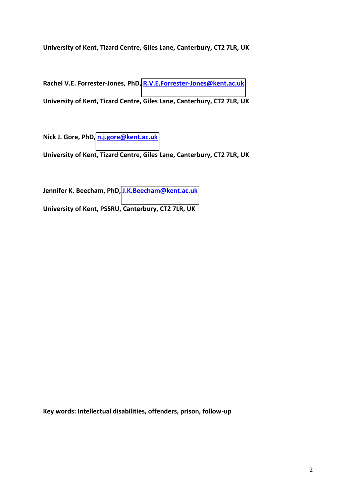**University of Kent, Tizard Centre, Giles Lane, Canterbury, CT2 7LR, UK** 

**Rachel V.E. Forrester-Jones, PhD, [R.V.E.Forrester-Jones@kent.ac.uk](mailto:R.V.E.Forrester-Jones@kent.ac.uk) University of Kent, Tizard Centre, Giles Lane, Canterbury, CT2 7LR, UK** 

**Nick J. Gore, PhD[, n.j.gore@kent.ac.uk](mailto:n.j.gore@kent.ac.uk)**

**University of Kent, Tizard Centre, Giles Lane, Canterbury, CT2 7LR, UK** 

**Jennifer K. Beecham, PhD, [J.K.Beecham@kent.ac.uk](mailto:J.K.Beecham@kent.ac.uk)**

**University of Kent, PSSRU, Canterbury, CT2 7LR, UK** 

**Key words: Intellectual disabilities, offenders, prison, follow-up**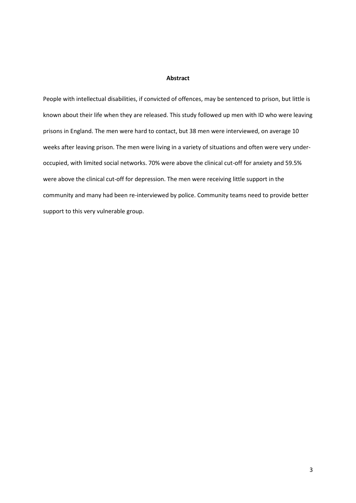#### **Abstract**

People with intellectual disabilities, if convicted of offences, may be sentenced to prison, but little is known about their life when they are released. This study followed up men with ID who were leaving prisons in England. The men were hard to contact, but 38 men were interviewed, on average 10 weeks after leaving prison. The men were living in a variety of situations and often were very underoccupied, with limited social networks. 70% were above the clinical cut-off for anxiety and 59.5% were above the clinical cut-off for depression. The men were receiving little support in the community and many had been re-interviewed by police. Community teams need to provide better support to this very vulnerable group.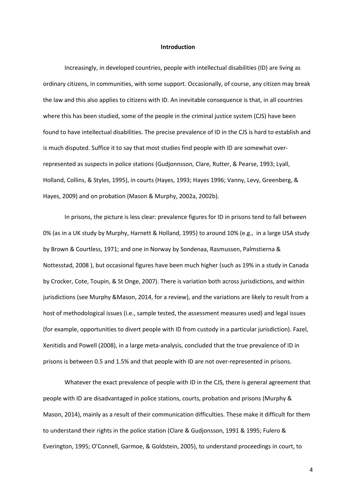#### **Introduction**

Increasingly, in developed countries, people with intellectual disabilities (ID) are living as ordinary citizens, in communities, with some support. Occasionally, of course, any citizen may break the law and this also applies to citizens with ID. An inevitable consequence is that, in all countries where this has been studied, some of the people in the criminal justice system (CJS) have been found to have intellectual disabilities. The precise prevalence of ID in the CJS is hard to establish and is much disputed. Suffice it to say that most studies find people with ID are somewhat overrepresented as suspects in police stations (Gudjonnsson, Clare, Rutter, & Pearse, 1993; Lyall, Holland, Collins, & Styles, 1995), in courts (Hayes, 1993; Hayes 1996; Vanny, Levy, Greenberg, & Hayes, 2009) and on probation (Mason & Murphy, 2002a, 2002b).

In prisons, the picture is less clear: prevalence figures for ID in prisons tend to fall between 0% (as in a UK study by Murphy, Harnett & Holland, 1995) to around 10% (e.g., in a large USA study by Brown & Courtless, 1971; and one in Norway by Sondenaa, Rasmussen, Palmstierna & Nottesstad, 2008 ), but occasional figures have been much higher (such as 19% in a study in Canada by Crocker, Cote, Toupin, & St Onge, 2007). There is variation both across jurisdictions, and within jurisdictions (see Murphy &Mason, 2014, for a review), and the variations are likely to result from a host of methodological issues (i.e., sample tested, the assessment measures used) and legal issues (for example, opportunities to divert people with ID from custody in a particular jurisdiction). Fazel, Xenitidis and Powell (2008), in a large meta-analysis, concluded that the true prevalence of ID in prisons is between 0.5 and 1.5% and that people with ID are not over-represented in prisons.

Whatever the exact prevalence of people with ID in the CJS, there is general agreement that people with ID are disadvantaged in police stations, courts, probation and prisons (Murphy & Mason, 2014), mainly as a result of their communication difficulties. These make it difficult for them to understand their rights in the police station (Clare & Gudjonsson, 1991 & 1995; Fulero & Everington, 1995; O'Connell, Garmoe, & Goldstein, 2005), to understand proceedings in court, to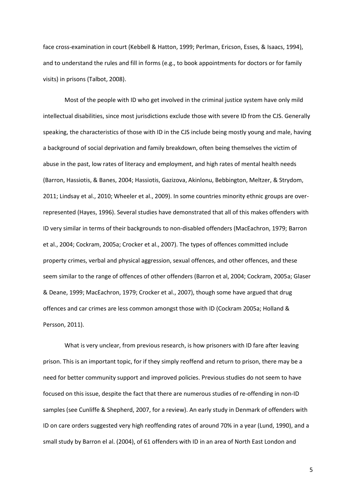face cross-examination in court (Kebbell & Hatton, 1999; Perlman, Ericson, Esses, & Isaacs, 1994), and to understand the rules and fill in forms (e.g., to book appointments for doctors or for family visits) in prisons (Talbot, 2008).

Most of the people with ID who get involved in the criminal justice system have only mild intellectual disabilities, since most jurisdictions exclude those with severe ID from the CJS. Generally speaking, the characteristics of those with ID in the CJS include being mostly young and male, having a background of social deprivation and family breakdown, often being themselves the victim of abuse in the past, low rates of literacy and employment, and high rates of mental health needs (Barron, Hassiotis, & Banes, 2004; Hassiotis, Gazizova, Akinlonu, Bebbington, Meltzer, & Strydom, 2011; Lindsay et al., 2010; Wheeler et al., 2009). In some countries minority ethnic groups are overrepresented (Hayes, 1996). Several studies have demonstrated that all of this makes offenders with ID very similar in terms of their backgrounds to non-disabled offenders (MacEachron, 1979; Barron et al., 2004; Cockram, 2005a; Crocker et al., 2007). The types of offences committed include property crimes, verbal and physical aggression, sexual offences, and other offences, and these seem similar to the range of offences of other offenders (Barron et al, 2004; Cockram, 2005a; Glaser & Deane, 1999; MacEachron, 1979; Crocker et al., 2007), though some have argued that drug offences and car crimes are less common amongst those with ID (Cockram 2005a; Holland & Persson, 2011).

What is very unclear, from previous research, is how prisoners with ID fare after leaving prison. This is an important topic, for if they simply reoffend and return to prison, there may be a need for better community support and improved policies. Previous studies do not seem to have focused on this issue, despite the fact that there are numerous studies of re-offending in non-ID samples (see Cunliffe & Shepherd, 2007, for a review). An early study in Denmark of offenders with ID on care orders suggested very high reoffending rates of around 70% in a year (Lund, 1990), and a small study by Barron el al. (2004), of 61 offenders with ID in an area of North East London and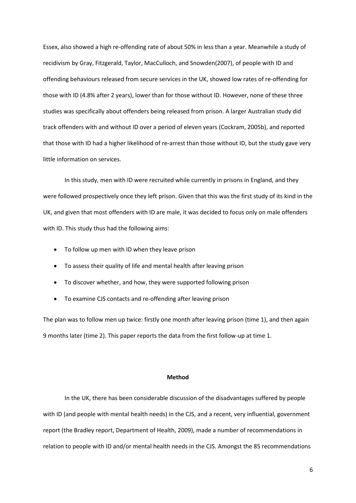Essex, also showed a high re-offending rate of about 50% in less than a year. Meanwhile a study of recidivism by Gray, Fitzgerald, Taylor, MacCulloch, and Snowden(2007), of people with ID and offending behaviours released from secure services in the UK, showed low rates of re-offending for those with ID (4.8% after 2 years), lower than for those without ID. However, none of these three studies was specifically about offenders being released from prison. A larger Australian study did track offenders with and without ID over a period of eleven years (Cockram, 2005b), and reported that those with ID had a higher likelihood of re-arrest than those without ID, but the study gave very little information on services.

In this study, men with ID were recruited while currently in prisons in England, and they were followed prospectively once they left prison. Given that this was the first study of its kind in the UK, and given that most offenders with ID are male, it was decided to focus only on male offenders with ID. This study thus had the following aims:

- To follow up men with ID when they leave prison
- To assess their quality of life and mental health after leaving prison
- To discover whether, and how, they were supported following prison
- To examine CJS contacts and re-offending after leaving prison

The plan was to follow men up twice: firstly one month after leaving prison (time 1), and then again 9 months later (time 2). This paper reports the data from the first follow-up at time 1.

#### **Method**

In the UK, there has been considerable discussion of the disadvantages suffered by people with ID (and people with mental health needs) in the CJS, and a recent, very influential, government report (the Bradley report, Department of Health, 2009), made a number of recommendations in relation to people with ID and/or mental health needs in the CJS. Amongst the 85 recommendations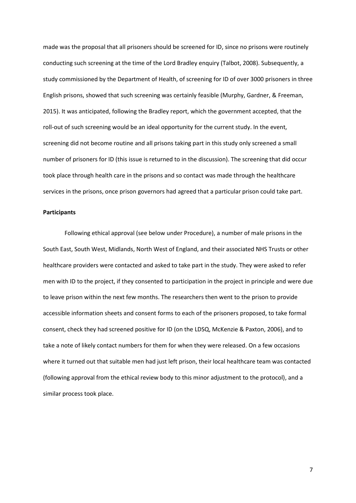made was the proposal that all prisoners should be screened for ID, since no prisons were routinely conducting such screening at the time of the Lord Bradley enquiry (Talbot, 2008). Subsequently, a study commissioned by the Department of Health, of screening for ID of over 3000 prisoners in three English prisons, showed that such screening was certainly feasible (Murphy, Gardner, & Freeman, 2015). It was anticipated, following the Bradley report, which the government accepted, that the roll-out of such screening would be an ideal opportunity for the current study. In the event, screening did not become routine and all prisons taking part in this study only screened a small number of prisoners for ID (this issue is returned to in the discussion). The screening that did occur took place through health care in the prisons and so contact was made through the healthcare services in the prisons, once prison governors had agreed that a particular prison could take part.

#### **Participants**

Following ethical approval (see below under Procedure), a number of male prisons in the South East, South West, Midlands, North West of England, and their associated NHS Trusts or other healthcare providers were contacted and asked to take part in the study. They were asked to refer men with ID to the project, if they consented to participation in the project in principle and were due to leave prison within the next few months. The researchers then went to the prison to provide accessible information sheets and consent forms to each of the prisoners proposed, to take formal consent, check they had screened positive for ID (on the LDSQ, McKenzie & Paxton, 2006), and to take a note of likely contact numbers for them for when they were released. On a few occasions where it turned out that suitable men had just left prison, their local healthcare team was contacted (following approval from the ethical review body to this minor adjustment to the protocol), and a similar process took place.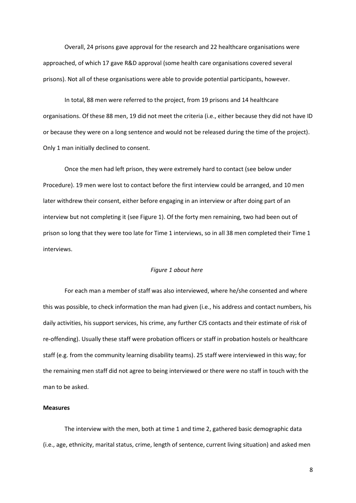Overall, 24 prisons gave approval for the research and 22 healthcare organisations were approached, of which 17 gave R&D approval (some health care organisations covered several prisons). Not all of these organisations were able to provide potential participants, however.

In total, 88 men were referred to the project, from 19 prisons and 14 healthcare organisations. Of these 88 men, 19 did not meet the criteria (i.e., either because they did not have ID or because they were on a long sentence and would not be released during the time of the project). Only 1 man initially declined to consent.

Once the men had left prison, they were extremely hard to contact (see below under Procedure). 19 men were lost to contact before the first interview could be arranged, and 10 men later withdrew their consent, either before engaging in an interview or after doing part of an interview but not completing it (see Figure 1). Of the forty men remaining, two had been out of prison so long that they were too late for Time 1 interviews, so in all 38 men completed their Time 1 interviews.

#### *Figure 1 about here*

For each man a member of staff was also interviewed, where he/she consented and where this was possible, to check information the man had given (i.e., his address and contact numbers, his daily activities, his support services, his crime, any further CJS contacts and their estimate of risk of re-offending). Usually these staff were probation officers or staff in probation hostels or healthcare staff (e.g. from the community learning disability teams). 25 staff were interviewed in this way; for the remaining men staff did not agree to being interviewed or there were no staff in touch with the man to be asked.

#### **Measures**

The interview with the men, both at time 1 and time 2, gathered basic demographic data (i.e., age, ethnicity, marital status, crime, length of sentence, current living situation) and asked men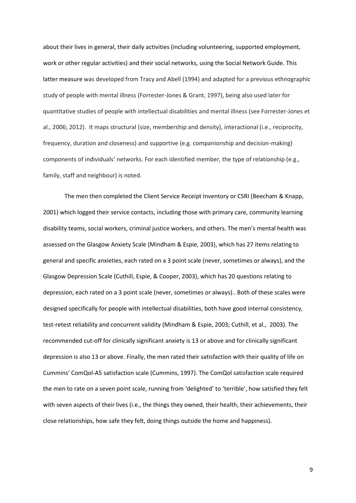about their lives in general, their daily activities (including volunteering, supported employment, work or other regular activities) and their social networks, using the Social Network Guide. This latter measure was developed from Tracy and Abell (1994) and adapted for a previous ethnographic study of people with mental illness (Forrester-Jones & Grant, 1997), being also used later for quantitative studies of people with intellectual disabilities and mental illness (see Forrester-Jones et al., 2006; 2012). It maps structural (size, membership and density), interactional (i.e., reciprocity, frequency, duration and closeness) and supportive (e.g. companionship and decision-making) components of individuals' networks. For each identified member, the type of relationship (e.g., family, staff and neighbour) is noted.

The men then completed the Client Service Receipt Inventory or CSRI (Beecham & Knapp, 2001) which logged their service contacts, including those with primary care, community learning disability teams, social workers, criminal justice workers, and others. The men's mental health was assessed on the Glasgow Anxiety Scale (Mindham & Espie, 2003), which has 27 items relating to general and specific anxieties, each rated on a 3 point scale (never, sometimes or always), and the Glasgow Depression Scale (Cuthill, Espie, & Cooper, 2003), which has 20 questions relating to depression, each rated on a 3 point scale (never, sometimes or always).. Both of these scales were designed specifically for people with intellectual disabilities, both have good internal consistency, test-retest reliability and concurrent validity (Mindham & Espie, 2003; Cuthill, et al., 2003). The recommended cut-off for clinically significant anxiety is 13 or above and for clinically significant depression is also 13 or above. Finally, the men rated their satisfaction with their quality of life on Cummins' ComQol-A5 satisfaction scale (Cummins, 1997). The ComQol satisfaction scale required the men to rate on a seven point scale, running from 'delighted' to 'terrible', how satisfied they felt with seven aspects of their lives (i.e., the things they owned, their health, their achievements, their close relationships, how safe they felt, doing things outside the home and happiness).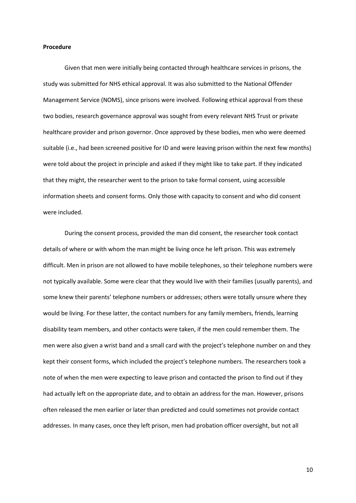#### **Procedure**

Given that men were initially being contacted through healthcare services in prisons, the study was submitted for NHS ethical approval. It was also submitted to the National Offender Management Service (NOMS), since prisons were involved. Following ethical approval from these two bodies, research governance approval was sought from every relevant NHS Trust or private healthcare provider and prison governor. Once approved by these bodies, men who were deemed suitable (i.e., had been screened positive for ID and were leaving prison within the next few months) were told about the project in principle and asked if they might like to take part. If they indicated that they might, the researcher went to the prison to take formal consent, using accessible information sheets and consent forms. Only those with capacity to consent and who did consent were included.

During the consent process, provided the man did consent, the researcher took contact details of where or with whom the man might be living once he left prison. This was extremely difficult. Men in prison are not allowed to have mobile telephones, so their telephone numbers were not typically available. Some were clear that they would live with their families (usually parents), and some knew their parents' telephone numbers or addresses; others were totally unsure where they would be living. For these latter, the contact numbers for any family members, friends, learning disability team members, and other contacts were taken, if the men could remember them. The men were also given a wrist band and a small card with the project's telephone number on and they kept their consent forms, which included the project's telephone numbers. The researchers took a note of when the men were expecting to leave prison and contacted the prison to find out if they had actually left on the appropriate date, and to obtain an address for the man. However, prisons often released the men earlier or later than predicted and could sometimes not provide contact addresses. In many cases, once they left prison, men had probation officer oversight, but not all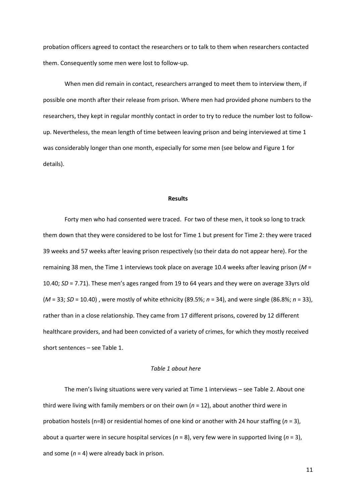probation officers agreed to contact the researchers or to talk to them when researchers contacted them. Consequently some men were lost to follow-up.

When men did remain in contact, researchers arranged to meet them to interview them, if possible one month after their release from prison. Where men had provided phone numbers to the researchers, they kept in regular monthly contact in order to try to reduce the number lost to followup. Nevertheless, the mean length of time between leaving prison and being interviewed at time 1 was considerably longer than one month, especially for some men (see below and Figure 1 for details).

#### **Results**

Forty men who had consented were traced. For two of these men, it took so long to track them down that they were considered to be lost for Time 1 but present for Time 2: they were traced 39 weeks and 57 weeks after leaving prison respectively (so their data do not appear here). For the remaining 38 men, the Time 1 interviews took place on average 10.4 weeks after leaving prison (*M* = 10.40; *SD* = 7.71). These men's ages ranged from 19 to 64 years and they were on average 33yrs old (*M* = 33; *SD* = 10.40) , were mostly of white ethnicity (89.5%; *n* = 34), and were single (86.8%; *n* = 33), rather than in a close relationship. They came from 17 different prisons, covered by 12 different healthcare providers, and had been convicted of a variety of crimes, for which they mostly received short sentences  $-$  see Table 1.

#### *Table 1 about here*

The men's living situations were very varied at Time 1 interviews - see Table 2. About one third were living with family members or on their own (*n* = 12), about another third were in probation hostels (n=8) or residential homes of one kind or another with 24 hour staffing (*n* = 3), about a quarter were in secure hospital services (*n* = 8), very few were in supported living (*n* = 3), and some  $(n = 4)$  were already back in prison.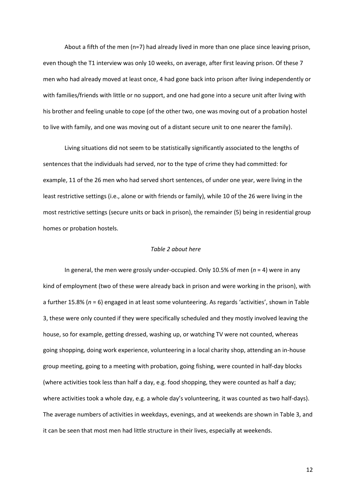About a fifth of the men (n=7) had already lived in more than one place since leaving prison, even though the T1 interview was only 10 weeks, on average, after first leaving prison. Of these 7 men who had already moved at least once, 4 had gone back into prison after living independently or with families/friends with little or no support, and one had gone into a secure unit after living with his brother and feeling unable to cope (of the other two, one was moving out of a probation hostel to live with family, and one was moving out of a distant secure unit to one nearer the family).

Living situations did not seem to be statistically significantly associated to the lengths of sentences that the individuals had served, nor to the type of crime they had committed: for example, 11 of the 26 men who had served short sentences, of under one year, were living in the least restrictive settings (i.e., alone or with friends or family), while 10 of the 26 were living in the most restrictive settings (secure units or back in prison), the remainder (5) being in residential group homes or probation hostels.

#### *Table 2 about here*

In general, the men were grossly under-occupied. Only 10.5% of men (*n* = 4) were in any kind of employment (two of these were already back in prison and were working in the prison), with a further 15.8% (*n* = 6) engaged in at least some volunteering. As regards 'activities', shown in Table 3, these were only counted if they were specifically scheduled and they mostly involved leaving the house, so for example, getting dressed, washing up, or watching TV were not counted, whereas going shopping, doing work experience, volunteering in a local charity shop, attending an in-house group meeting, going to a meeting with probation, going fishing, were counted in half-day blocks (where activities took less than half a day, e.g. food shopping, they were counted as half a day; where activities took a whole day, e.g. a whole day's volunteering, it was counted as two half-days). The average numbers of activities in weekdays, evenings, and at weekends are shown in Table 3, and it can be seen that most men had little structure in their lives, especially at weekends.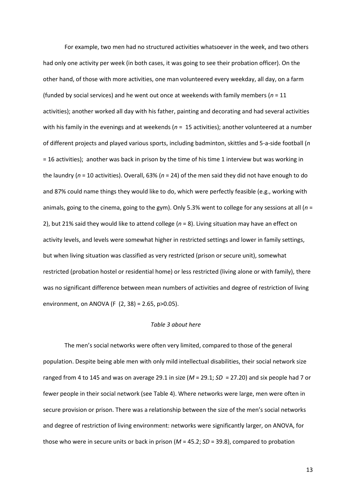For example, two men had no structured activities whatsoever in the week, and two others had only one activity per week (in both cases, it was going to see their probation officer). On the other hand, of those with more activities, one man volunteered every weekday, all day, on a farm (funded by social services) and he went out once at weekends with family members (*n* = 11 activities); another worked all day with his father, painting and decorating and had several activities with his family in the evenings and at weekends (*n* = 15 activities); another volunteered at a number of different projects and played various sports, including badminton, skittles and 5-a-side football (*n*  = 16 activities); another was back in prison by the time of his time 1 interview but was working in the laundry (*n* = 10 activities). Overall, 63% (*n* = 24) of the men said they did not have enough to do and 87% could name things they would like to do, which were perfectly feasible (e.g., working with animals, going to the cinema, going to the gym). Only 5.3% went to college for any sessions at all (*n* = 2), but 21% said they would like to attend college (*n* = 8). Living situation may have an effect on activity levels, and levels were somewhat higher in restricted settings and lower in family settings, but when living situation was classified as very restricted (prison or secure unit), somewhat restricted (probation hostel or residential home) or less restricted (living alone or with family), there was no significant difference between mean numbers of activities and degree of restriction of living environment, on ANOVA (F (2, 38) = 2.65, p>0.05).

#### *Table 3 about here*

The men's social networks were often very limited, compared to those of the general population. Despite being able men with only mild intellectual disabilities, their social network size ranged from 4 to 145 and was on average 29.1 in size (*M* = 29.1; *SD* = 27.20) and six people had 7 or fewer people in their social network (see Table 4). Where networks were large, men were often in secure provision or prison. There was a relationship between the size of the men's social networks and degree of restriction of living environment: networks were significantly larger, on ANOVA, for those who were in secure units or back in prison (*M* = 45.2; *SD* = 39.8), compared to probation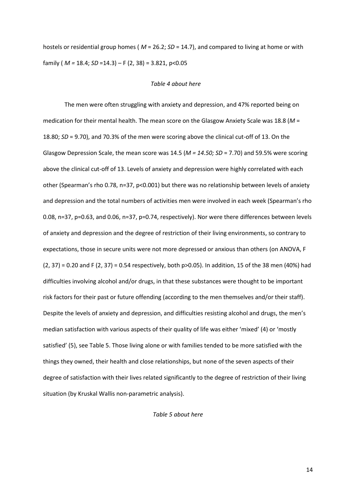hostels or residential group homes ( *M* = 26.2; *SD* = 14.7), and compared to living at home or with family ( *M =* 18.4; *SD* =14.3) に F (2, 38) = 3.821, p<0.05

#### *Table 4 about here*

The men were often struggling with anxiety and depression, and 47% reported being on medication for their mental health. The mean score on the Glasgow Anxiety Scale was 18.8 (*M* = 18.80; *SD* = 9.70), and 70.3% of the men were scoring above the clinical cut-off of 13. On the Glasgow Depression Scale, the mean score was 14.5 (*M = 14.50; SD* = 7.70) and 59.5% were scoring above the clinical cut-off of 13. Levels of anxiety and depression were highly correlated with each other (Spearman's rho 0.78, n=37, p<0.001) but there was no relationship between levels of anxiety and depression and the total numbers of activities men were involved in each week (Spearman's rho 0.08, n=37, p=0.63, and 0.06, n=37, p=0.74, respectively). Nor were there differences between levels of anxiety and depression and the degree of restriction of their living environments, so contrary to expectations, those in secure units were not more depressed or anxious than others (on ANOVA, F (2, 37) = 0.20 and F (2, 37) = 0.54 respectively, both p>0.05). In addition, 15 of the 38 men (40%) had difficulties involving alcohol and/or drugs, in that these substances were thought to be important risk factors for their past or future offending (according to the men themselves and/or their staff). Despite the levels of anxiety and depression, and difficulties resisting alcohol and drugs, the men's median satisfaction with various aspects of their quality of life was either 'mixed' (4) or 'mostly satisfied' (5), see Table 5. Those living alone or with families tended to be more satisfied with the things they owned, their health and close relationships, but none of the seven aspects of their degree of satisfaction with their lives related significantly to the degree of restriction of their living situation (by Kruskal Wallis non-parametric analysis).

#### *Table 5 about here*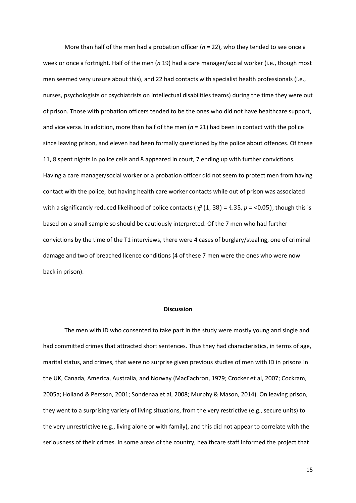More than half of the men had a probation officer (*n* = 22), who they tended to see once a week or once a fortnight. Half of the men (*n* 19) had a care manager/social worker (i.e., though most men seemed very unsure about this), and 22 had contacts with specialist health professionals (i.e., nurses, psychologists or psychiatrists on intellectual disabilities teams) during the time they were out of prison. Those with probation officers tended to be the ones who did not have healthcare support, and vice versa. In addition, more than half of the men (*n* = 21) had been in contact with the police since leaving prison, and eleven had been formally questioned by the police about offences. Of these 11, 8 spent nights in police cells and 8 appeared in court, 7 ending up with further convictions. Having a care manager/social worker or a probation officer did not seem to protect men from having contact with the police, but having health care worker contacts while out of prison was associated with a significantly reduced likelihood of police contacts ( $\chi^2(1, 38)$  = 4.35,  $p$  = <0.05), though this is based on a small sample so should be cautiously interpreted. Of the 7 men who had further convictions by the time of the T1 interviews, there were 4 cases of burglary/stealing, one of criminal damage and two of breached licence conditions (4 of these 7 men were the ones who were now back in prison).

#### **Discussion**

The men with ID who consented to take part in the study were mostly young and single and had committed crimes that attracted short sentences. Thus they had characteristics, in terms of age, marital status, and crimes, that were no surprise given previous studies of men with ID in prisons in the UK, Canada, America, Australia, and Norway (MacEachron, 1979; Crocker et al, 2007; Cockram, 2005a; Holland & Persson, 2001; Sondenaa et al, 2008; Murphy & Mason, 2014). On leaving prison, they went to a surprising variety of living situations, from the very restrictive (e.g., secure units) to the very unrestrictive (e.g., living alone or with family), and this did not appear to correlate with the seriousness of their crimes. In some areas of the country, healthcare staff informed the project that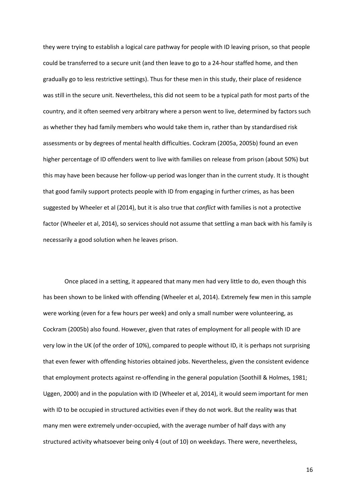they were trying to establish a logical care pathway for people with ID leaving prison, so that people could be transferred to a secure unit (and then leave to go to a 24-hour staffed home, and then gradually go to less restrictive settings). Thus for these men in this study, their place of residence was still in the secure unit. Nevertheless, this did not seem to be a typical path for most parts of the country, and it often seemed very arbitrary where a person went to live, determined by factors such as whether they had family members who would take them in, rather than by standardised risk assessments or by degrees of mental health difficulties. Cockram (2005a, 2005b) found an even higher percentage of ID offenders went to live with families on release from prison (about 50%) but this may have been because her follow-up period was longer than in the current study. It is thought that good family support protects people with ID from engaging in further crimes, as has been suggested by Wheeler et al (2014), but it is also true that *conflict* with families is not a protective factor (Wheeler et al, 2014), so services should not assume that settling a man back with his family is necessarily a good solution when he leaves prison.

Once placed in a setting, it appeared that many men had very little to do, even though this has been shown to be linked with offending (Wheeler et al, 2014). Extremely few men in this sample were working (even for a few hours per week) and only a small number were volunteering, as Cockram (2005b) also found. However, given that rates of employment for all people with ID are very low in the UK (of the order of 10%), compared to people without ID, it is perhaps not surprising that even fewer with offending histories obtained jobs. Nevertheless, given the consistent evidence that employment protects against re-offending in the general population (Soothill & Holmes, 1981; Uggen, 2000) and in the population with ID (Wheeler et al, 2014), it would seem important for men with ID to be occupied in structured activities even if they do not work. But the reality was that many men were extremely under-occupied, with the average number of half days with any structured activity whatsoever being only 4 (out of 10) on weekdays. There were, nevertheless,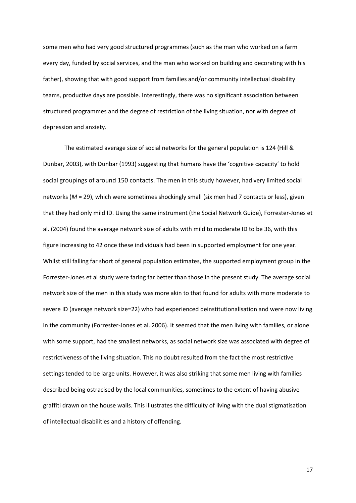some men who had very good structured programmes (such as the man who worked on a farm every day, funded by social services, and the man who worked on building and decorating with his father), showing that with good support from families and/or community intellectual disability teams, productive days are possible. Interestingly, there was no significant association between structured programmes and the degree of restriction of the living situation, nor with degree of depression and anxiety.

The estimated average size of social networks for the general population is 124 (Hill & Dunbar, 2003), with Dunbar (1993) suggesting that humans have the 'cognitive capacity' to hold social groupings of around 150 contacts. The men in this study however, had very limited social networks (*M* = 29), which were sometimes shockingly small (six men had 7 contacts or less), given that they had only mild ID. Using the same instrument (the Social Network Guide), Forrester-Jones et al. (2004) found the average network size of adults with mild to moderate ID to be 36, with this figure increasing to 42 once these individuals had been in supported employment for one year. Whilst still falling far short of general population estimates, the supported employment group in the Forrester-Jones et al study were faring far better than those in the present study. The average social network size of the men in this study was more akin to that found for adults with more moderate to severe ID (average network size=22) who had experienced deinstitutionalisation and were now living in the community (Forrester-Jones et al. 2006). It seemed that the men living with families, or alone with some support, had the smallest networks, as social network size was associated with degree of restrictiveness of the living situation. This no doubt resulted from the fact the most restrictive settings tended to be large units. However, it was also striking that some men living with families described being ostracised by the local communities, sometimes to the extent of having abusive graffiti drawn on the house walls. This illustrates the difficulty of living with the dual stigmatisation of intellectual disabilities and a history of offending.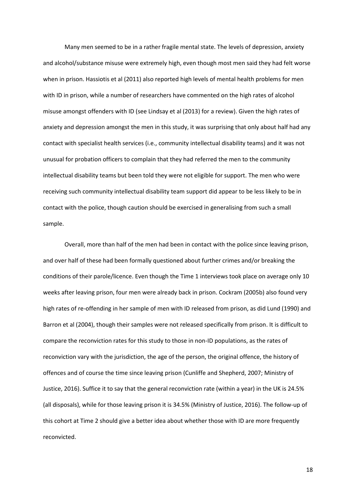Many men seemed to be in a rather fragile mental state. The levels of depression, anxiety and alcohol/substance misuse were extremely high, even though most men said they had felt worse when in prison. Hassiotis et al (2011) also reported high levels of mental health problems for men with ID in prison, while a number of researchers have commented on the high rates of alcohol misuse amongst offenders with ID (see Lindsay et al (2013) for a review). Given the high rates of anxiety and depression amongst the men in this study, it was surprising that only about half had any contact with specialist health services (i.e., community intellectual disability teams) and it was not unusual for probation officers to complain that they had referred the men to the community intellectual disability teams but been told they were not eligible for support. The men who were receiving such community intellectual disability team support did appear to be less likely to be in contact with the police, though caution should be exercised in generalising from such a small sample.

Overall, more than half of the men had been in contact with the police since leaving prison, and over half of these had been formally questioned about further crimes and/or breaking the conditions of their parole/licence. Even though the Time 1 interviews took place on average only 10 weeks after leaving prison, four men were already back in prison. Cockram (2005b) also found very high rates of re-offending in her sample of men with ID released from prison, as did Lund (1990) and Barron et al (2004), though their samples were not released specifically from prison. It is difficult to compare the reconviction rates for this study to those in non-ID populations, as the rates of reconviction vary with the jurisdiction, the age of the person, the original offence, the history of offences and of course the time since leaving prison (Cunliffe and Shepherd, 2007; Ministry of Justice, 2016). Suffice it to say that the general reconviction rate (within a year) in the UK is 24.5% (all disposals), while for those leaving prison it is 34.5% (Ministry of Justice, 2016). The follow-up of this cohort at Time 2 should give a better idea about whether those with ID are more frequently reconvicted.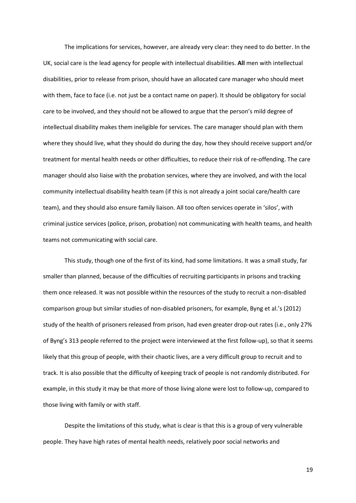The implications for services, however, are already very clear: they need to do better. In the UK, social care is the lead agency for people with intellectual disabilities. **All** men with intellectual disabilities, prior to release from prison, should have an allocated care manager who should meet with them, face to face (i.e. not just be a contact name on paper). It should be obligatory for social care to be involved, and they should not be allowed to argue that the person's mild degree of intellectual disability makes them ineligible for services. The care manager should plan with them where they should live, what they should do during the day, how they should receive support and/or treatment for mental health needs or other difficulties, to reduce their risk of re-offending. The care manager should also liaise with the probation services, where they are involved, and with the local community intellectual disability health team (if this is not already a joint social care/health care team), and they should also ensure family liaison. All too often services operate in 'silos', with criminal justice services (police, prison, probation) not communicating with health teams, and health teams not communicating with social care.

This study, though one of the first of its kind, had some limitations. It was a small study, far smaller than planned, because of the difficulties of recruiting participants in prisons and tracking them once released. It was not possible within the resources of the study to recruit a non-disabled comparison group but similar studies of non-disabled prisoners, for example, Byng et al.'s (2012) study of the health of prisoners released from prison, had even greater drop-out rates (i.e., only 27% of Byng's 313 people referred to the project were interviewed at the first follow-up), so that it seems likely that this group of people, with their chaotic lives, are a very difficult group to recruit and to track. It is also possible that the difficulty of keeping track of people is not randomly distributed. For example, in this study it may be that more of those living alone were lost to follow-up, compared to those living with family or with staff.

Despite the limitations of this study, what is clear is that this is a group of very vulnerable people. They have high rates of mental health needs, relatively poor social networks and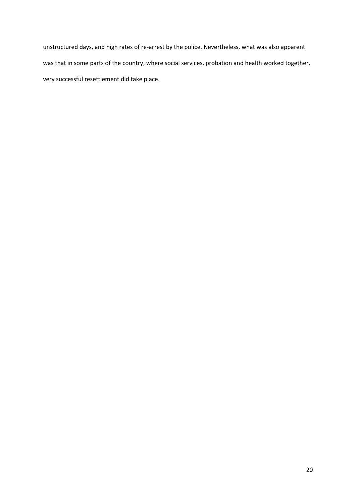unstructured days, and high rates of re-arrest by the police. Nevertheless, what was also apparent was that in some parts of the country, where social services, probation and health worked together, very successful resettlement did take place.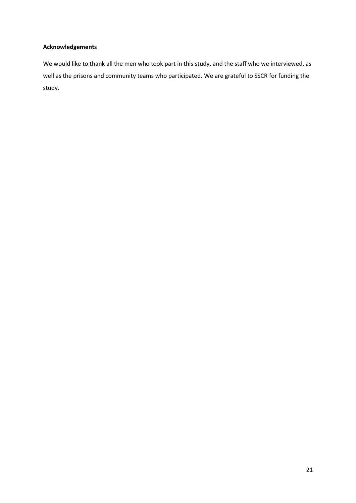## **Acknowledgements**

We would like to thank all the men who took part in this study, and the staff who we interviewed, as well as the prisons and community teams who participated. We are grateful to SSCR for funding the study.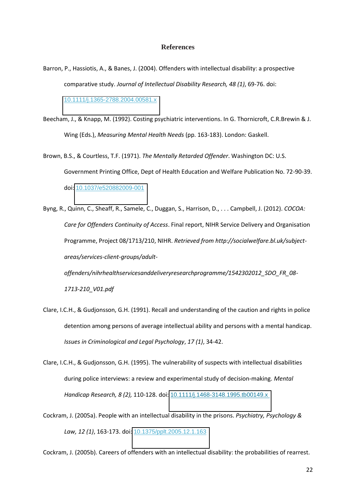#### **References**

- Barron, P., Hassiotis, A., & Banes, J. (2004). Offenders with intellectual disability: a prospective comparative study. *Journal of Intellectual Disability Research, 48 (1)*, 69-76. doi: [10.1111/j.1365-2788.2004.00581.x](http://dx.doi.org/10.1111/j.1365-2788.2004.00581.x)
- Beecham, J., & Knapp, M. (1992). Costing psychiatric interventions. In G. Thornicroft, C.R.Brewin & J. Wing (Eds.), *Measuring Mental Health Needs* (pp. 163-183). London: Gaskell.
- Brown, B.S., & Courtless, T.F. (1971). *The Mentally Retarded Offender*. Washington DC: U.S. Government Printing Office, Dept of Health Education and Welfare Publication No. 72-90-39. doi: [10.1037/e520882009-001](http://dx.doi.org/10.1037/e520882009-001)
- Byng, R., Quinn, C., Sheaff, R., Samele, C., Duggan, S., Harrison, D., . . . Campbell, J. (2012). *COCOA: Care for Offenders Continuity of Access*. Final report, NIHR Service Delivery and Organisation Programme, Project 08/1713/210, NIHR. *Retrieved from http://socialwelfare.bl.uk/subjectareas/services-client-groups/adult-*

*offenders/nihrhealthservicesanddeliveryresearchprogramme/1542302012\_SDO\_FR\_08- 1713-210\_V01.pdf* 

- Clare, I.C.H., & Gudjonsson, G.H. (1991). Recall and understanding of the caution and rights in police detention among persons of average intellectual ability and persons with a mental handicap. *Issues in Criminological and Legal Psychology*, *17 (1)*, 34-42.
- Clare, I.C.H., & Gudjonsson, G.H. (1995). The vulnerability of suspects with intellectual disabilities during police interviews: a review and experimental study of decision-making. *Mental Handicap Research, 8 (2),* 110-128. doi: [10.1111/j.1468-3148.1995.tb00149.x](http://dx.doi.org/10.1111/j.1468-3148.1995.tb00149.x)
- Cockram, J. (2005a). People with an intellectual disability in the prisons. *Psychiatry, Psychology & Law, 12 (1)*, 163-173. doi: [10.1375/pplt.2005.12.1.163](http://dx.doi.org/10.1375/pplt.2005.12.1.163)

Cockram, J. (2005b). Careers of offenders with an intellectual disability: the probabilities of rearrest.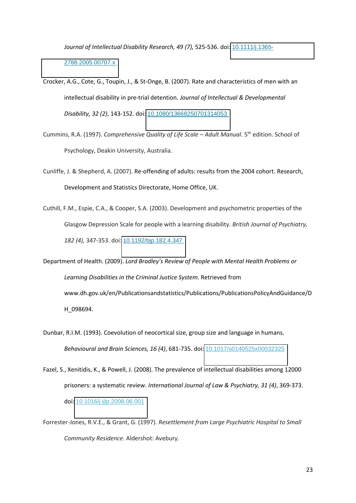*Journal of Intellectual Disability Research, 49 (7),* 525-536. doi: [10.1111/j.1365-](http://dx.doi.org/10.1111/j.1365-2788.2005.00707.x) [2788.2005.00707.x](http://dx.doi.org/10.1111/j.1365-2788.2005.00707.x) 

- Crocker, A.G., Cote, G., Toupin, J., & St-Onge, B. (2007). Rate and characteristics of men with an intellectual disability in pre-trial detention. *Journal of Intellectual & Developmental Disability, 32 (2)*, 143-152. doi: [10.1080/13668250701314053](http://dx.doi.org/10.1080/13668250701314053)
- Cummins, R.A. (1997). *Comprehensive Quality of Life Scale Adult Manual*. 5<sup>th</sup> edition. School of Psychology, Deakin University, Australia.
- Cunliffe, J. & Shepherd, A. (2007). Re-offending of adults: results from the 2004 cohort. Research, Development and Statistics Directorate, Home Office, UK.
- Cuthill, F.M., Espie, C.A., & Cooper, S.A. (2003). Development and psychometric properties of the Glasgow Depression Scale for people with a learning disability. *British Journal of Psychiatry, 182 (4),* 347-353. doi: [10.1192/bjp.182.4.347](http://dx.doi.org/10.1192/bjp.182.4.347)
- Department of Health. (2009). Lord Bradley's Review of People with Mental Health Problems or *Learning Disabilities in the Criminal Justice System.* Retrieved from www.dh.gov.uk/en/Publicationsandstatistics/Publications/PublicationsPolicyAndGuidance/D H\_098694.
- Dunbar, R.I.M. (1993). Coevolution of neocortical size, group size and language in humans. *Behavioural and Brain Sciences, 16 (4)*, 681-735. doi: [10.1017/s0140525x00032325](http://dx.doi.org/10.1017/s0140525x00032325)
- Fazel, S., Xenitidis, K., & Powell, J. (2008). The prevalence of intellectual disabilities among 12000 prisoners: a systematic review. *International Journal of Law & Psychiatry, 31 (4)*, 369-373. doi: [10.1016/j.ijlp.2008.06.001](http://dx.doi.org/10.1016/j.ijlp.2008.06.001)
- Forrester-Jones, R.V.E., & Grant, G. (1997). *Resettlement from Large Psychiatric Hospital to Small Community Residence.* Aldershot: Avebury.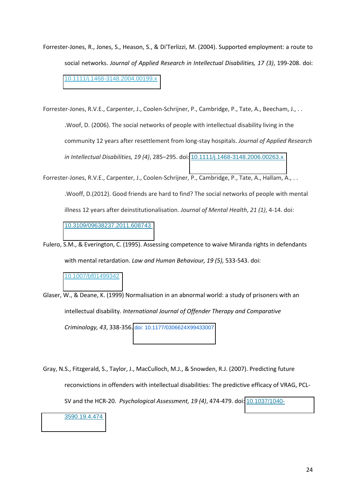- Forrester-Jones, R., Jones, S., Heason, S., & Di'Terlizzi, M. (2004). Supported employment: a route to social networks. *Journal of Applied Research in Intellectual Disabilities, 17 (3)*, 199-208. doi: [10.1111/j.1468-3148.2004.00199.x](http://dx.doi.org/10.1111/j.1468-3148.2004.00199.x)
- Forrester-Jones, R.V.E., Carpenter, J., Coolen-Schrijner, P., Cambridge, P., Tate, A., Beecham, J., . . .Woof, D. (2006). The social networks of people with intellectual disability living in the community 12 years after resettlement from long-stay hospitals. *Journal of Applied Research in Intellectual Disabilities, 19 (4), 285-295. doi: 10.1111/j.1468-3148.2006.00263.x*
- Forrester-Jones, R.V.E., Carpenter, J., Coolen-Schrijner, P., Cambridge, P., Tate, A., Hallam, A., . . .Wooff, D.(2012). Good friends are hard to find? The social networks of people with mental illness 12 years after deinstitutionalisation. *Journal of Mental Health*, *21 (1)*, 4-14. doi: [10.3109/09638237.2011.608743](http://dx.doi.org/10.3109/09638237.2011.608743)
- Fulero, S.M., & Everington, C. (1995). Assessing competence to waive Miranda rights in defendants with mental retardation. *Law and Human Behaviour, 19 (5),* 533-543. doi: [10.1007/bf01499342](http://dx.doi.org/10.1007/bf01499342)
- Glaser, W., & Deane, K. (1999) Normalisation in an abnormal world: a study of prisoners with an intellectual disability. *International Journal of Offender Therapy and Comparative Criminology, 43*, 338-356. [doi: 10.1177/0306624X99433007](http://dx.doi.org.chain.kent.ac.uk/10.1177/0306624X99433007)
- Gray, N.S., Fitzgerald, S., Taylor, J., MacCulloch, M.J., & Snowden, R.J. (2007). Predicting future reconvictions in offenders with intellectual disabilities: The predictive efficacy of VRAG, PCL-SV and the HCR-20. *Psychological Assessment, 19 (4)*, 474-479. doi: [10.1037/1040-](http://dx.doi.org/10.1037/1040-3590.19.4.474) [3590.19.4.474](http://dx.doi.org/10.1037/1040-3590.19.4.474)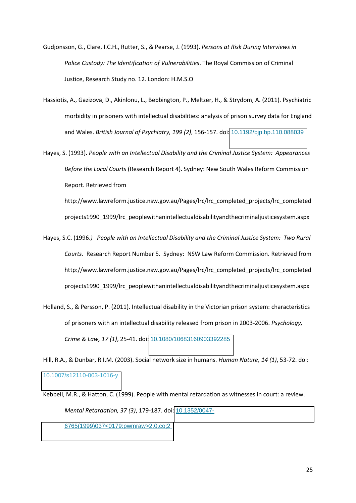- Gudjonsson, G., Clare, I.C.H., Rutter, S., & Pearse, J. (1993). *Persons at Risk During Interviews in Police Custody: The Identification of Vulnerabilities*. The Royal Commission of Criminal Justice, Research Study no. 12. London: H.M.S.O
- Hassiotis, A., Gazizova, D., Akinlonu, L., Bebbington, P., Meltzer, H., & Strydom, A. (2011). Psychiatric morbidity in prisoners with intellectual disabilities: analysis of prison survey data for England and Wales. *British Journal of Psychiatry, 199 (2)*, 156-157. doi: [10.1192/bjp.bp.110.088039](http://dx.doi.org/10.1192/bjp.bp.110.088039)
- Hayes, S. (1993). *People with an Intellectual Disability and the Criminal Justice System: Appearances Before the Local Courts* (Research Report 4). Sydney: New South Wales Reform Commission Report. Retrieved from

http://www.lawreform.justice.nsw.gov.au/Pages/lrc/lrc\_completed\_projects/lrc\_completed projects1990\_1999/lrc\_peoplewithanintellectualdisabilityandthecriminaljusticesystem.aspx

- Hayes, S.C. (1996.*) People with an Intellectual Disability and the Criminal Justice System: Two Rural Courts.* Research Report Number 5. Sydney: NSW Law Reform Commission. Retrieved from http://www.lawreform.justice.nsw.gov.au/Pages/lrc/lrc\_completed\_projects/lrc\_completed projects1990\_1999/lrc\_peoplewithanintellectualdisabilityandthecriminaljusticesystem.aspx
- Holland, S., & Persson, P. (2011). Intellectual disability in the Victorian prison system: characteristics of prisoners with an intellectual disability released from prison in 2003-2006. *Psychology, Crime & Law, 17 (1)*, 25-41. doi: [10.1080/10683160903392285](http://dx.doi.org/10.1080/10683160903392285)

Hill, R.A., & Dunbar, R.I.M. (2003). Social network size in humans. *Human Nature, 14 (1)*, 53-72. doi: [10.1007/s12110-003-1016-y](http://dx.doi.org/10.1007/s12110-003-1016-y) 

Kebbell, M.R., & Hatton, C. (1999). People with mental retardation as witnesses in court: a review. *Mental Retardation, 37 (3)*, 179-187. doi: [10.1352/0047-](http://dx.doi.org/10.1352/0047-6765(1999)037%3C0179:pwmraw%3E2.0.co;2) [6765\(1999\)037<0179:pwmraw>2.0.co;2](http://dx.doi.org/10.1352/0047-6765(1999)037%3C0179:pwmraw%3E2.0.co;2)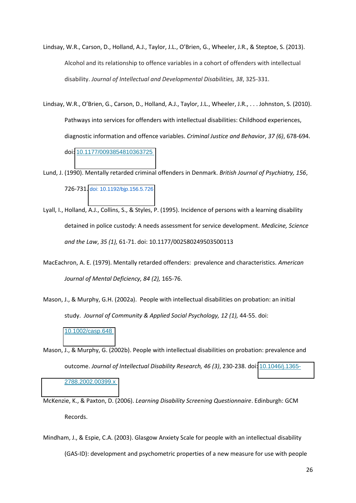- Lindsay, W.R., Carson, D., Holland, A.J., Taylor, J.L., O'Brien, G., Wheeler, J.R., & Steptoe, S. (2013). Alcohol and its relationship to offence variables in a cohort of offenders with intellectual disability. *Journal of Intellectual and Developmental Disabilities, 38*, 325-331.
- Lindsay, W.R., O'Brien, G., Carson, D., Holland, A.J., Taylor, J.L., Wheeler, J.R., . . . Johnston, S. (2010). Pathways into services for offenders with intellectual disabilities: Childhood experiences, diagnostic information and offence variables. *Criminal Justice and Behavior*, *37 (6)*, 678-694. doi: [10.1177/0093854810363725](http://dx.doi.org/10.1177/0093854810363725)
- Lund, J. (1990). Mentally retarded criminal offenders in Denmark. *British Journal of Psychiatry, 156*, 726-731. [doi: 10.1192/bjp.156.5.726](http://dx.doi.org.chain.kent.ac.uk/10.1192/bjp.156.5.726)
- Lyall, I., Holland, A.J., Collins, S., & Styles, P. (1995). Incidence of persons with a learning disability detained in police custody: A needs assessment for service development. *Medicine, Science and the Law*, *35 (1),* 61-71. doi: 10.1177/002580249503500113
- MacEachron, A. E. (1979). Mentally retarded offenders: prevalence and characteristics. *American Journal of Mental Deficiency, 84 (2),* 165-76.
- Mason, J., & Murphy, G.H. (2002a). People with intellectual disabilities on probation: an initial study. *Journal of Community & Applied Social Psychology, 12 (1),* 44-55. doi: [10.1002/casp.648](http://dx.doi.org/10.1002/casp.648)
- Mason, J., & Murphy, G. (2002b). People with intellectual disabilities on probation: prevalence and outcome. *Journal of Intellectual Disability Research, 46 (3)*, 230-238. doi: [10.1046/j.1365-](http://dx.doi.org/10.1046/j.1365-2788.2002.00399.x) [2788.2002.00399.x](http://dx.doi.org/10.1046/j.1365-2788.2002.00399.x)
- McKenzie, K., & Paxton, D. (2006). *Learning Disability Screening Questionnaire*. Edinburgh: GCM Records.
- Mindham, J., & Espie, C.A. (2003). Glasgow Anxiety Scale for people with an intellectual disability (GAS-ID): development and psychometric properties of a new measure for use with people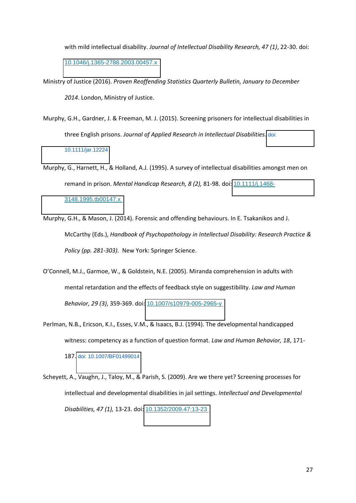with mild intellectual disability. *Journal of Intellectual Disability Research, 47 (1)*, 22-30. doi: [10.1046/j.1365-2788.2003.00457.x](http://dx.doi.org/10.1046/j.1365-2788.2003.00457.x) 

- Ministry of Justice (2016). *Proven Reoffending Statistics Quarterly Bulletin, January to December 2014*. London, Ministry of Justice.
- Murphy, G.H., Gardner, J. & Freeman, M. J. (2015). Screening prisoners for intellectual disabilities in three English prisons. *Journal of Applied Research in Intellectual Disabilities.* [doi:](http://dx.doi.org.chain.kent.ac.uk/10.1111/jar.12224)  [10.1111/jar.12224](http://dx.doi.org.chain.kent.ac.uk/10.1111/jar.12224)
- Murphy, G., Harnett, H., & Holland, A.J. (1995). A survey of intellectual disabilities amongst men on remand in prison. *Mental Handicap Research, 8 (2), 81-98. doi:* [10.1111/j.1468-](http://dx.doi.org/10.1111/j.1468-3148.1995.tb00147.x) [3148.1995.tb00147.x](http://dx.doi.org/10.1111/j.1468-3148.1995.tb00147.x)
- Murphy, G.H., & Mason, J. (2014). Forensic and offending behaviours. In E. Tsakanikos and J. McCarthy (Eds.), *Handbook of Psychopathology in Intellectual Disability: Research Practice & Policy (pp. 281-303).* New York: Springer Science.
- O'Connell, M.J., Garmoe, W., & Goldstein, N.E. (2005). Miranda comprehension in adults with mental retardation and the effects of feedback style on suggestibility. *Law and Human Behavior, 29 (3)*, 359-369. doi: [10.1007/s10979-005-2965-y](http://dx.doi.org/10.1007/s10979-005-2965-y)
- Perlman, N.B., Ericson, K.I., Esses, V.M., & Isaacs, B.J. (1994). The developmental handicapped witness: competency as a function of question format. *Law and Human Behavior, 18*, 171- 187. [doi: 10.1007/BF01499014](http://dx.doi.org.chain.kent.ac.uk/10.1007/BF01499014)
- Scheyett, A., Vaughn, J., Taloy, M., & Parish, S. (2009). Are we there yet? Screening processes for intellectual and developmental disabilities in jail settings. *Intellectual and Developmental Disabilities, 47 (1),* 13-23. doi: [10.1352/2009.47:13-23](http://dx.doi.org/10.1352/2009.47:13-23)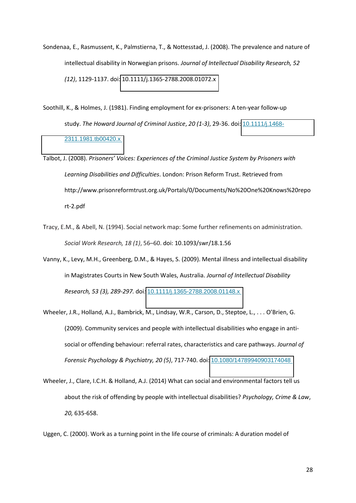- Sondenaa, E., Rasmussent, K., Palmstierna, T., & Nottesstad, J. (2008). The prevalence and nature of intellectual disability in Norwegian prisons. *Journal of Intellectual Disability Research, 52 (12)*, 1129-1137. doi: [10.1111/j.1365-2788.2008.01072.x](http://dx.doi.org/10.1111/j.1365-2788.2008.01072.x)
- Soothill, K., & Holmes, J. (1981). Finding employment for ex-prisoners: A ten-year follow-up study. *The Howard Journal of Criminal Justice*, *20 (1-3)*, 29-36. doi: [10.1111/j.1468-](http://dx.doi.org/10.1111/j.1468-2311.1981.tb00420.x) [2311.1981.tb00420.x](http://dx.doi.org/10.1111/j.1468-2311.1981.tb00420.x)
- Talbot, J. (2008). *Prisoners' Voices: Experiences of the Criminal Justice System by Prisoners with Learning Disabilities and Difficulties*. London: Prison Reform Trust. Retrieved from http://www.prisonreformtrust.org.uk/Portals/0/Documents/No%20One%20Knows%20repo rt-2.pdf
- Tracy, E.M., & Abell, N. (1994). Social network map: Some further refinements on administration. *Social Work Research, 18 (1)*, 56-60. doi: 10.1093/swr/18.1.56
- Vanny, K., Levy, M.H., Greenberg, D.M., & Hayes, S. (2009). Mental illness and intellectual disability in Magistrates Courts in New South Wales, Australia. *Journal of Intellectual Disability Research, 53 (3), 289-297.* doi*:* [10.1111/j.1365-2788.2008.01148.x](http://dx.doi.org/10.1111/j.1365-2788.2008.01148.x)
- Wheeler, J.R., Holland, A.J., Bambrick, M., Lindsay, W.R., Carson, D., Steptoe, L., . . . O'Brien, G. (2009). Community services and people with intellectual disabilities who engage in antisocial or offending behaviour: referral rates, characteristics and care pathways. *Journal of Forensic Psychology & Psychiatry, 20 (5)*, 717-740. doi: [10.1080/14789940903174048](http://dx.doi.org/10.1080/14789940903174048)
- Wheeler, J., Clare, I.C.H. & Holland, A.J. (2014) What can social and environmental factors tell us about the risk of offending by people with intellectual disabilities? *Psychology, Crime & Law*, *20,* 635-658.

Uggen, C. (2000). Work as a turning point in the life course of criminals: A duration model of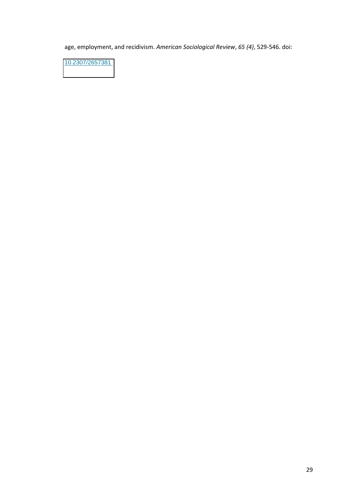age, employment, and recidivism. *American Sociological Review*, *65 (4)*, 529-546. doi:

[10.2307/2657381](http://dx.doi.org/10.2307/2657381)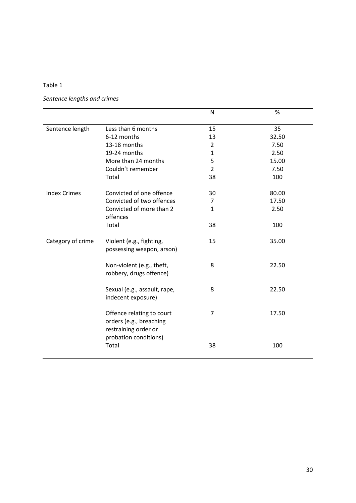# *Sentence lengths and crimes*

|                     |                                                                              | N              | $\%$  |
|---------------------|------------------------------------------------------------------------------|----------------|-------|
| Sentence length     | Less than 6 months                                                           | 15             | 35    |
|                     | 6-12 months                                                                  | 13             | 32.50 |
|                     | 13-18 months                                                                 | $\overline{2}$ | 7.50  |
|                     | 19-24 months                                                                 | $\mathbf{1}$   | 2.50  |
|                     | More than 24 months                                                          | 5              | 15.00 |
|                     | Couldn't remember                                                            | $\overline{2}$ | 7.50  |
|                     | Total                                                                        | 38             | 100   |
| <b>Index Crimes</b> | Convicted of one offence                                                     | 30             | 80.00 |
|                     | Convicted of two offences                                                    | 7              | 17.50 |
|                     | Convicted of more than 2<br>offences                                         | $\mathbf{1}$   | 2.50  |
|                     | Total                                                                        | 38             | 100   |
| Category of crime   | Violent (e.g., fighting,<br>possessing weapon, arson)                        | 15             | 35.00 |
|                     | Non-violent (e.g., theft,<br>robbery, drugs offence)                         | 8              | 22.50 |
|                     | Sexual (e.g., assault, rape,<br>indecent exposure)                           | 8              | 22.50 |
|                     | Offence relating to court<br>orders (e.g., breaching<br>restraining order or | $\overline{7}$ | 17.50 |
|                     | probation conditions)<br>Total                                               | 38             | 100   |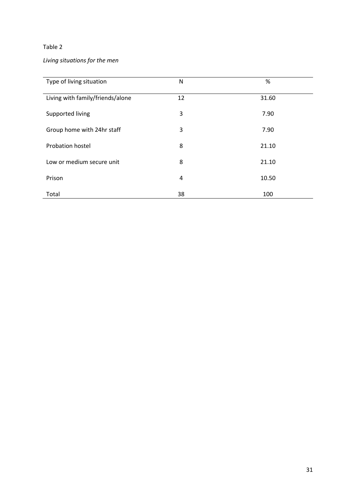# *Living situations for the men*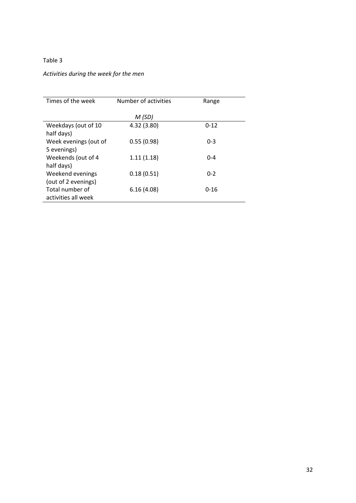# *Activities during the week for the men*

| Times of the week     | Number of activities | Range    |
|-----------------------|----------------------|----------|
|                       | M(SD)                |          |
| Weekdays (out of 10   | 4.32 (3.80)          | $0 - 12$ |
| half days)            |                      |          |
| Week evenings (out of | 0.55(0.98)           | $0 - 3$  |
| 5 evenings)           |                      |          |
| Weekends (out of 4    | 1.11(1.18)           | $0 - 4$  |
| half days)            |                      |          |
| Weekend evenings      | 0.18(0.51)           | $0 - 2$  |
| (out of 2 evenings)   |                      |          |
| Total number of       | 6.16(4.08)           | $0 - 16$ |
| activities all week   |                      |          |
|                       |                      |          |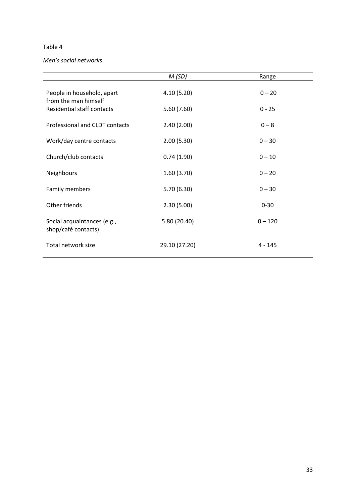#### *Men's social networks*

|                                                    | M(SD)         | Range     |
|----------------------------------------------------|---------------|-----------|
| People in household, apart<br>from the man himself | 4.10(5.20)    | $0 - 20$  |
| <b>Residential staff contacts</b>                  | 5.60(7.60)    | $0 - 25$  |
| Professional and CLDT contacts                     | 2.40(2.00)    | $0 - 8$   |
| Work/day centre contacts                           | 2.00(5.30)    | $0 - 30$  |
| Church/club contacts                               | 0.74(1.90)    | $0 - 10$  |
| Neighbours                                         | 1.60(3.70)    | $0 - 20$  |
| Family members                                     | 5.70(6.30)    | $0 - 30$  |
| Other friends                                      | 2.30(5.00)    | $0 - 30$  |
| Social acquaintances (e.g.,<br>shop/café contacts) | 5.80 (20.40)  | $0 - 120$ |
| Total network size                                 | 29.10 (27.20) | $4 - 145$ |